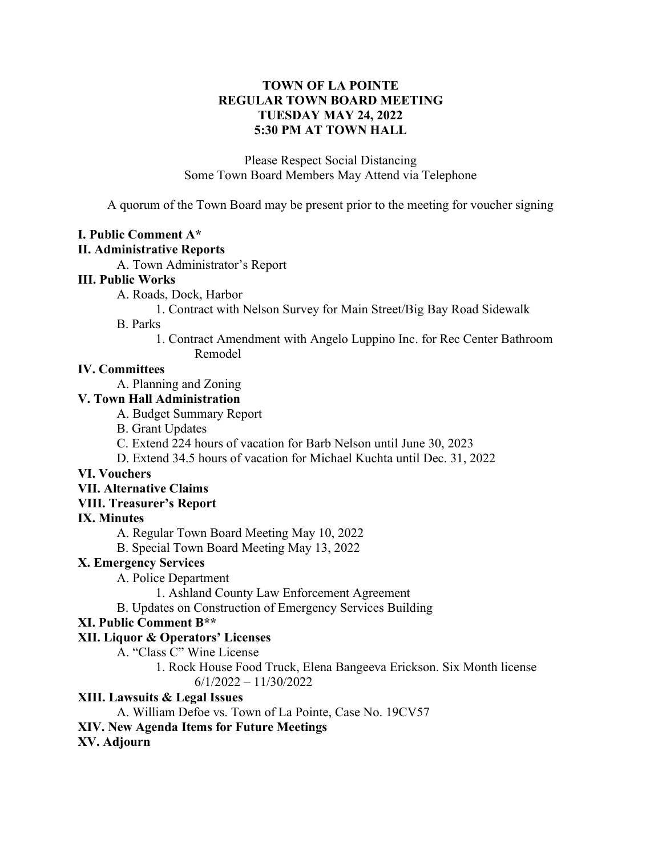#### TOWN OF LA POINTE REGULAR TOWN BOARD MEETING TUESDAY MAY 24, 2022 5:30 PM AT TOWN HALL

Please Respect Social Distancing Some Town Board Members May Attend via Telephone

A quorum of the Town Board may be present prior to the meeting for voucher signing

#### I. Public Comment A\*

#### II. Administrative Reports

A. Town Administrator's Report

#### III. Public Works

- A. Roads, Dock, Harbor
	- 1. Contract with Nelson Survey for Main Street/Big Bay Road Sidewalk

#### B. Parks

1. Contract Amendment with Angelo Luppino Inc. for Rec Center Bathroom Remodel

#### IV. Committees

A. Planning and Zoning

# V. Town Hall Administration

A. Budget Summary Report

B. Grant Updates

C. Extend 224 hours of vacation for Barb Nelson until June 30, 2023

D. Extend 34.5 hours of vacation for Michael Kuchta until Dec. 31, 2022

# VI. Vouchers

VII. Alternative Claims

# VIII. Treasurer's Report

# IX. Minutes

A. Regular Town Board Meeting May 10, 2022

B. Special Town Board Meeting May 13, 2022

#### X. Emergency Services

A. Police Department

1. Ashland County Law Enforcement Agreement

B. Updates on Construction of Emergency Services Building

# XI. Public Comment B\*\*

# XII. Liquor & Operators' Licenses

A. "Class C" Wine License

1. Rock House Food Truck, Elena Bangeeva Erickson. Six Month license 6/1/2022 – 11/30/2022

# XIII. Lawsuits & Legal Issues

A. William Defoe vs. Town of La Pointe, Case No. 19CV57

XIV. New Agenda Items for Future Meetings

# XV. Adjourn